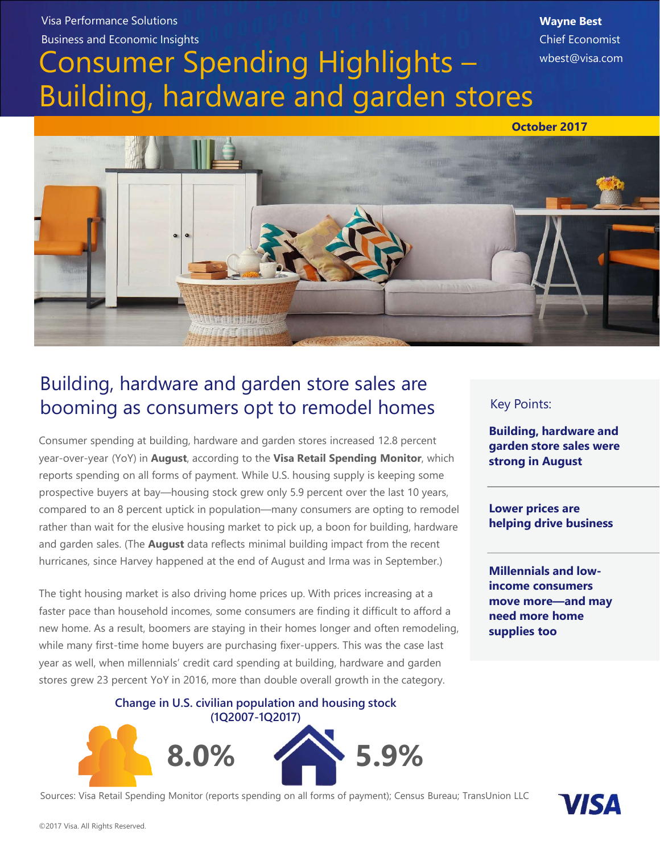#### Visa Performance Solutions Business and Economic Insights

# Consumer Spending Highlights – Building, hardware and garden stores

Wayne Best Chief Economist wbest@visa.com

October 2017



## Building, hardware and garden store sales are booming as consumers opt to remodel homes

Consumer spending at building, hardware and garden stores increased 12.8 percent year-over-year (YoY) in **August**, according to the Visa Retail Spending Monitor, which reports spending on all forms of payment. While U.S. housing supply is keeping some prospective buyers at bay—housing stock grew only 5.9 percent over the last 10 years, rather than wait for the elusive housing market to pick up, a boon for building, hardware and garden sales. (The **August** data reflects minimal building impact from the recent hurricanes, since Harvey happened at the end of August and Irma was in September.) ding at building, hardware and garden stores increased 12.8 percent<br>
YoY) in August, according to the Visa Retail Spending Monitor, which<br>
gon all forms of payment. While U.S. housing supply is keeping some<br>
ers at bay—hou

The tight housing market is also driving home prices up. With prices increasing at a faster pace than household incomes, some consumers are finding it difficult to afford a new home. As a result, boomers are staying in their homes longer and often remodeling, while many first-time home buyers are purchasing fixer-uppers. This was the case last year as well, when millennials' credit card spending at building, hardware and garden stores grew 23 percent YoY in 2016, more than double overall growth in the category.

(1Q2007-1Q2017)



Sources: Visa Retail Spending Monitor (reports spending on all forms of payment); Census Bureau; TransUnion LLC

#### Key Points:

Building, hardware and garden store sales were strong in August

Lower prices are helping drive business

Millennials and lowincome consumers move more—and may need more home supplies too